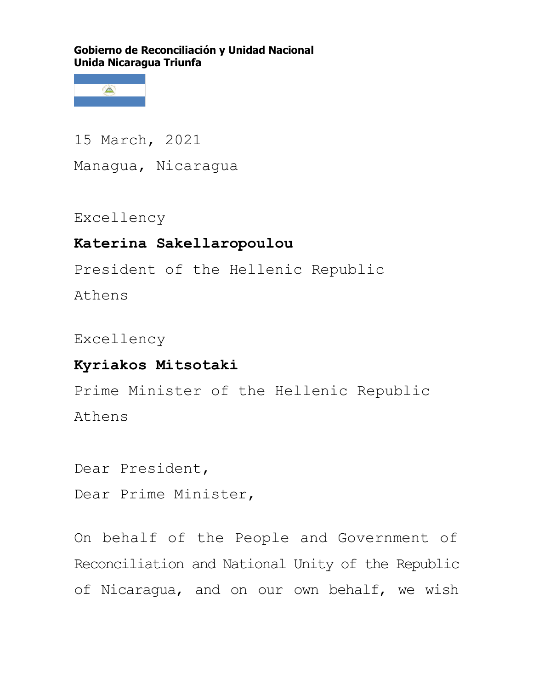**Gobierno de Reconciliación y Unidad Nacional Unida Nicaragua Triunfa**



15 March, 2021 Managua, Nicaragua

Excellency

## **Katerina Sakellaropoulou**

President of the Hellenic Republic

Athens

Excellency

## **Kyriakos Mitsotaki**

Prime Minister of the Hellenic Republic Athens

Dear President,

Dear Prime Minister,

On behalf of the People and Government of Reconciliation and National Unity of the Republic of Nicaragua, and on our own behalf, we wish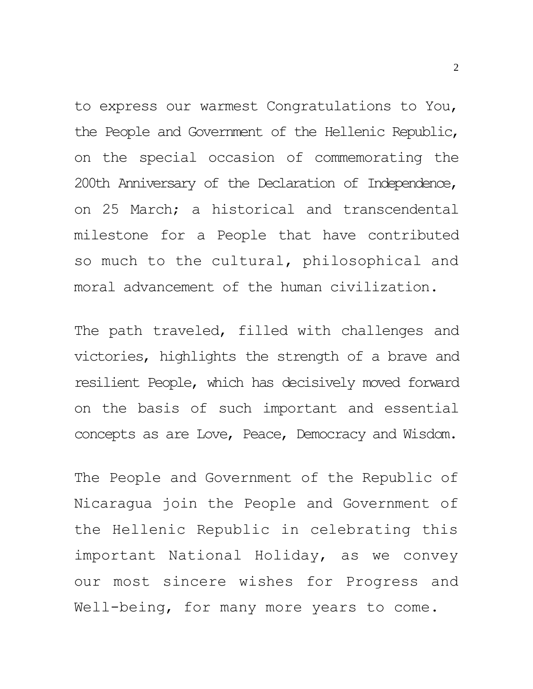to express our warmest Congratulations to You, the People and Government of the Hellenic Republic, on the special occasion of commemorating the 200th Anniversary of the Declaration of Independence, on 25 March; a historical and transcendental milestone for a People that have contributed so much to the cultural, philosophical and moral advancement of the human civilization.

The path traveled, filled with challenges and victories, highlights the strength of a brave and resilient People, which has decisively moved forward on the basis of such important and essential concepts as are Love, Peace, Democracy and Wisdom.

The People and Government of the Republic of Nicaragua join the People and Government of the Hellenic Republic in celebrating this important National Holiday, as we convey our most sincere wishes for Progress and Well-being, for many more years to come.